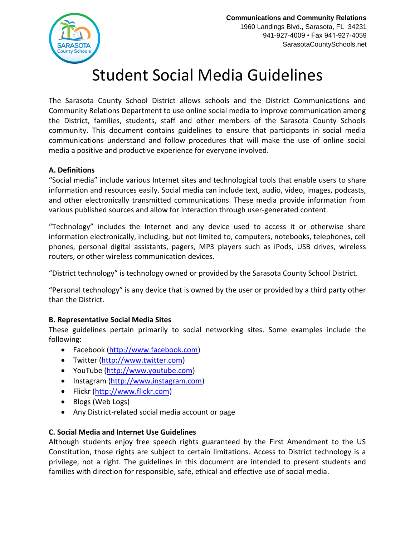

# Student Social Media Guidelines

The Sarasota County School District allows schools and the District Communications and Community Relations Department to use online social media to improve communication among the District, families, students, staff and other members of the Sarasota County Schools community. This document contains guidelines to ensure that participants in social media communications understand and follow procedures that will make the use of online social media a positive and productive experience for everyone involved.

#### **A. Definitions**

"Social media" include various Internet sites and technological tools that enable users to share information and resources easily. Social media can include text, audio, video, images, podcasts, and other electronically transmitted communications. These media provide information from various published sources and allow for interaction through user-generated content.

"Technology" includes the Internet and any device used to access it or otherwise share information electronically, including, but not limited to, computers, notebooks, telephones, cell phones, personal digital assistants, pagers, MP3 players such as iPods, USB drives, wireless routers, or other wireless communication devices.

"District technology" is technology owned or provided by the Sarasota County School District.

"Personal technology" is any device that is owned by the user or provided by a third party other than the District.

#### **B. Representative Social Media Sites**

These guidelines pertain primarily to social networking sites. Some examples include the following:

- Facebook [\(http://www.facebook.com\)](http://www.facebook.com/)
- Twitter [\(http://www.twitter.com\)](http://www.twitter.com/)
- YouTube [\(http://www.youtube.com\)](http://www.youtube.com/)
- Instagram [\(http://www.instagram.com\)](http://www.instagram.com/)
- Flickr [\(http://www.flickr.com\)](http://www.flickr.com/)
- Blogs (Web Logs)
- Any District-related social media account or page

#### **C. Social Media and Internet Use Guidelines**

Although students enjoy free speech rights guaranteed by the First Amendment to the US Constitution, those rights are subject to certain limitations. Access to District technology is a privilege, not a right. The guidelines in this document are intended to present students and families with direction for responsible, safe, ethical and effective use of social media.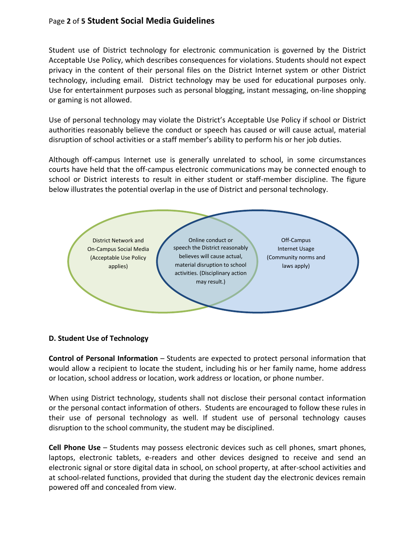## Page **2** of **5 Student Social Media Guidelines**

Student use of District technology for electronic communication is governed by the District Acceptable Use Policy, which describes consequences for violations. Students should not expect privacy in the content of their personal files on the District Internet system or other District technology, including email. District technology may be used for educational purposes only. Use for entertainment purposes such as personal blogging, instant messaging, on-line shopping or gaming is not allowed.

Use of personal technology may violate the District's Acceptable Use Policy if school or District authorities reasonably believe the conduct or speech has caused or will cause actual, material disruption of school activities or a staff member's ability to perform his or her job duties.

Although off-campus Internet use is generally unrelated to school, in some circumstances courts have held that the off-campus electronic communications may be connected enough to school or District interests to result in either student or staff-member discipline. The figure below illustrates the potential overlap in the use of District and personal technology.



#### **D. Student Use of Technology**

**Control of Personal Information** – Students are expected to protect personal information that would allow a recipient to locate the student, including his or her family name, home address or location, school address or location, work address or location, or phone number.

When using District technology, students shall not disclose their personal contact information or the personal contact information of others. Students are encouraged to follow these rules in their use of personal technology as well. If student use of personal technology causes disruption to the school community, the student may be disciplined.

**Cell Phone Use** – Students may possess electronic devices such as cell phones, smart phones, laptops, electronic tablets, e-readers and other devices designed to receive and send an electronic signal or store digital data in school, on school property, at after-school activities and at school-related functions, provided that during the student day the electronic devices remain powered off and concealed from view.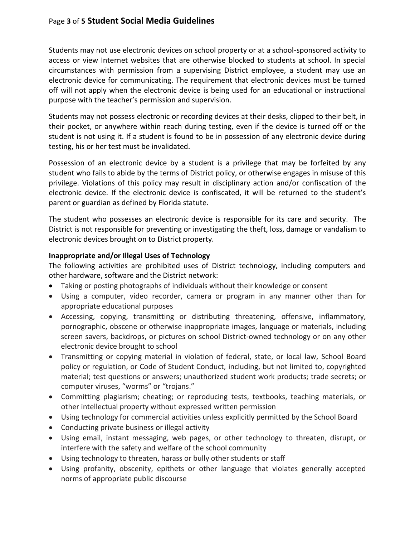Students may not use electronic devices on school property or at a school-sponsored activity to access or view Internet websites that are otherwise blocked to students at school. In special circumstances with permission from a supervising District employee, a student may use an electronic device for communicating. The requirement that electronic devices must be turned off will not apply when the electronic device is being used for an educational or instructional purpose with the teacher's permission and supervision.

Students may not possess electronic or recording devices at their desks, clipped to their belt, in their pocket, or anywhere within reach during testing, even if the device is turned off or the student is not using it. If a student is found to be in possession of any electronic device during testing, his or her test must be invalidated.

Possession of an electronic device by a student is a privilege that may be forfeited by any student who fails to abide by the terms of District policy, or otherwise engages in misuse of this privilege. Violations of this policy may result in disciplinary action and/or confiscation of the electronic device. If the electronic device is confiscated, it will be returned to the student's parent or guardian as defined by Florida statute.

The student who possesses an electronic device is responsible for its care and security. The District is not responsible for preventing or investigating the theft, loss, damage or vandalism to electronic devices brought on to District property.

#### **Inappropriate and/or Illegal Uses of Technology**

The following activities are prohibited uses of District technology, including computers and other hardware, software and the District network:

- Taking or posting photographs of individuals without their knowledge or consent
- Using a computer, video recorder, camera or program in any manner other than for appropriate educational purposes
- Accessing, copying, transmitting or distributing threatening, offensive, inflammatory, pornographic, obscene or otherwise inappropriate images, language or materials, including screen savers, backdrops, or pictures on school District-owned technology or on any other electronic device brought to school
- Transmitting or copying material in violation of federal, state, or local law, School Board policy or regulation, or Code of Student Conduct, including, but not limited to, copyrighted material; test questions or answers; unauthorized student work products; trade secrets; or computer viruses, "worms" or "trojans."
- Committing plagiarism; cheating; or reproducing tests, textbooks, teaching materials, or other intellectual property without expressed written permission
- Using technology for commercial activities unless explicitly permitted by the School Board
- Conducting private business or illegal activity
- Using email, instant messaging, web pages, or other technology to threaten, disrupt, or interfere with the safety and welfare of the school community
- Using technology to threaten, harass or bully other students or staff
- Using profanity, obscenity, epithets or other language that violates generally accepted norms of appropriate public discourse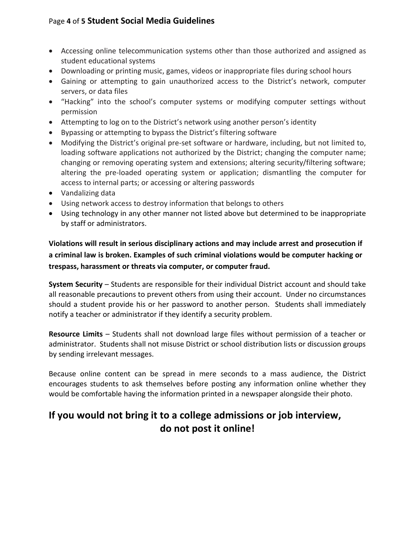# Page **4** of **5 Student Social Media Guidelines**

- Accessing online telecommunication systems other than those authorized and assigned as student educational systems
- Downloading or printing music, games, videos or inappropriate files during school hours
- Gaining or attempting to gain unauthorized access to the District's network, computer servers, or data files
- "Hacking" into the school's computer systems or modifying computer settings without permission
- Attempting to log on to the District's network using another person's identity
- Bypassing or attempting to bypass the District's filtering software
- Modifying the District's original pre-set software or hardware, including, but not limited to, loading software applications not authorized by the District; changing the computer name; changing or removing operating system and extensions; altering security/filtering software; altering the pre-loaded operating system or application; dismantling the computer for access to internal parts; or accessing or altering passwords
- Vandalizing data
- Using network access to destroy information that belongs to others
- Using technology in any other manner not listed above but determined to be inappropriate by staff or administrators.

**Violations will result in serious disciplinary actions and may include arrest and prosecution if a criminal law is broken. Examples of such criminal violations would be computer hacking or trespass, harassment or threats via computer, or computer fraud.**

**System Security** – Students are responsible for their individual District account and should take all reasonable precautions to prevent others from using their account. Under no circumstances should a student provide his or her password to another person. Students shall immediately notify a teacher or administrator if they identify a security problem.

**Resource Limits** – Students shall not download large files without permission of a teacher or administrator. Students shall not misuse District or school distribution lists or discussion groups by sending irrelevant messages.

Because online content can be spread in mere seconds to a mass audience, the District encourages students to ask themselves before posting any information online whether they would be comfortable having the information printed in a newspaper alongside their photo.

# **If you would not bring it to a college admissions or job interview, do not post it online!**